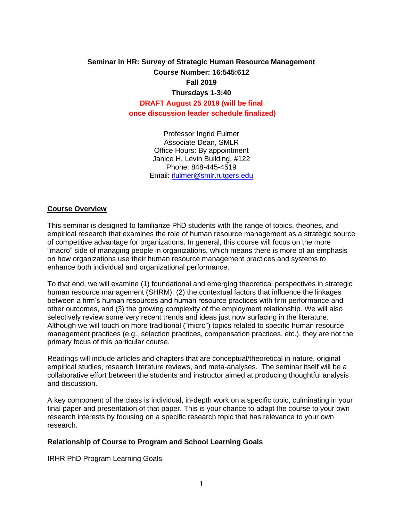# **Seminar in HR: Survey of Strategic Human Resource Management Course Number: 16:545:612 Fall 2019 Thursdays 1-3:40 DRAFT August 25 2019 (will be final once discussion leader schedule finalized)**

Professor Ingrid Fulmer Associate Dean, SMLR Office Hours: By appointment Janice H. Levin Building, #122 Phone: 848-445-4519 Email: [ifulmer@smlr.rutgers.edu](mailto:ifulmer@smlr.rutgers.edu)

#### **Course Overview**

This seminar is designed to familiarize PhD students with the range of topics, theories, and empirical research that examines the role of human resource management as a strategic source of competitive advantage for organizations. In general, this course will focus on the more "macro" side of managing people in organizations, which means there is more of an emphasis on how organizations use their human resource management practices and systems to enhance both individual and organizational performance.

To that end, we will examine (1) foundational and emerging theoretical perspectives in strategic human resource management (SHRM), (2) the contextual factors that influence the linkages between a firm's human resources and human resource practices with firm performance and other outcomes, and (3) the growing complexity of the employment relationship. We will also selectively review some very recent trends and ideas just now surfacing in the literature. Although we will touch on more traditional ("micro") topics related to specific human resource management practices (e.g., selection practices, compensation practices, etc.), they are not the primary focus of this particular course.

Readings will include articles and chapters that are conceptual/theoretical in nature, original empirical studies, research literature reviews, and meta-analyses. The seminar itself will be a collaborative effort between the students and instructor aimed at producing thoughtful analysis and discussion.

A key component of the class is individual, in-depth work on a specific topic, culminating in your final paper and presentation of that paper. This is your chance to adapt the course to your own research interests by focusing on a specific research topic that has relevance to your own research.

#### **Relationship of Course to Program and School Learning Goals**

IRHR PhD Program Learning Goals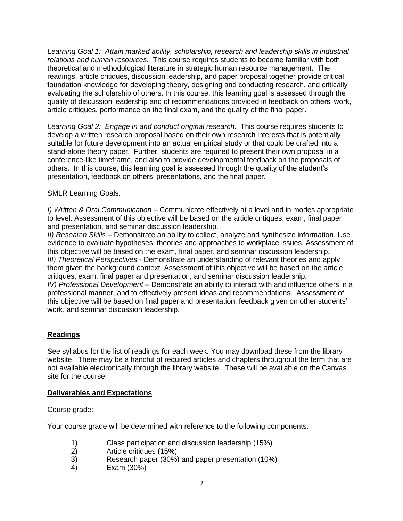*Learning Goal 1: Attain marked ability, scholarship, research and leadership skills in industrial relations and human resources.* This course requires students to become familiar with both theoretical and methodological literature in strategic human resource management. The readings, article critiques, discussion leadership, and paper proposal together provide critical foundation knowledge for developing theory, designing and conducting research, and critically evaluating the scholarship of others. In this course, this learning goal is assessed through the quality of discussion leadership and of recommendations provided in feedback on others' work, article critiques, performance on the final exam, and the quality of the final paper.

*Learning Goal 2: Engage in and conduct original research.* This course requires students to develop a written research proposal based on their own research interests that is potentially suitable for future development into an actual empirical study or that could be crafted into a stand-alone theory paper. Further, students are required to present their own proposal in a conference-like timeframe, and also to provide developmental feedback on the proposals of others. In this course, this learning goal is assessed through the quality of the student's presentation, feedback on others' presentations, and the final paper.

# SMLR Learning Goals*:*

*I) Written & Oral Communication* – Communicate effectively at a level and in modes appropriate to level. Assessment of this objective will be based on the article critiques, exam, final paper and presentation, and seminar discussion leadership.

*II) Research Skills* – Demonstrate an ability to collect, analyze and synthesize information. Use evidence to evaluate hypotheses, theories and approaches to workplace issues. Assessment of this objective will be based on the exam, final paper, and seminar discussion leadership. *III) Theoretical Perspectives* - Demonstrate an understanding of relevant theories and apply them given the background context. Assessment of this objective will be based on the article critiques, exam, final paper and presentation, and seminar discussion leadership.

*IV) Professional Development* – Demonstrate an ability to interact with and influence others in a professional manner, and to effectively present ideas and recommendations. Assessment of this objective will be based on final paper and presentation, feedback given on other students' work, and seminar discussion leadership.

# **Readings**

See syllabus for the list of readings for each week. You may download these from the library website. There may be a handful of required articles and chapters throughout the term that are not available electronically through the library website. These will be available on the Canvas site for the course.

# **Deliverables and Expectations**

Course grade:

Your course grade will be determined with reference to the following components:

- 1) Class participation and discussion leadership (15%)
- 2) Article critiques (15%)
- 3) Research paper (30%) and paper presentation (10%)
- 4) Exam (30%)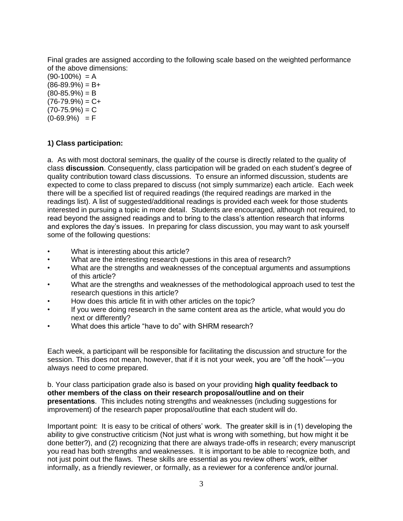Final grades are assigned according to the following scale based on the weighted performance of the above dimensions:

 $(90-100\%) = A$  $(86-89.9%) = B+$  $(80-85.9\%) = B$  $(76-79.9%) = C+$  $(70-75.9%) = C$  $(0-69.9\%) = F$ 

# **1) Class participation:**

a. As with most doctoral seminars, the quality of the course is directly related to the quality of class **discussion**. Consequently, class participation will be graded on each student's degree of quality contribution toward class discussions. To ensure an informed discussion, students are expected to come to class prepared to discuss (not simply summarize) each article. Each week there will be a specified list of required readings (the required readings are marked in the readings list). A list of suggested/additional readings is provided each week for those students interested in pursuing a topic in more detail. Students are encouraged, although not required, to read beyond the assigned readings and to bring to the class's attention research that informs and explores the day's issues. In preparing for class discussion, you may want to ask yourself some of the following questions:

- What is interesting about this article?
- What are the interesting research questions in this area of research?
- What are the strengths and weaknesses of the conceptual arguments and assumptions of this article?
- What are the strengths and weaknesses of the methodological approach used to test the research questions in this article?
- How does this article fit in with other articles on the topic?
- If you were doing research in the same content area as the article, what would you do next or differently?
- What does this article "have to do" with SHRM research?

Each week, a participant will be responsible for facilitating the discussion and structure for the session. This does not mean, however, that if it is not your week, you are "off the hook"—you always need to come prepared.

b. Your class participation grade also is based on your providing **high quality feedback to other members of the class on their research proposal/outline and on their presentations**. This includes noting strengths and weaknesses (including suggestions for improvement) of the research paper proposal/outline that each student will do.

Important point: It is easy to be critical of others' work. The greater skill is in (1) developing the ability to give constructive criticism (Not just what is wrong with something, but how might it be done better?), and (2) recognizing that there are always trade-offs in research; every manuscript you read has both strengths and weaknesses. It is important to be able to recognize both, and not just point out the flaws. These skills are essential as you review others' work, either informally, as a friendly reviewer, or formally, as a reviewer for a conference and/or journal.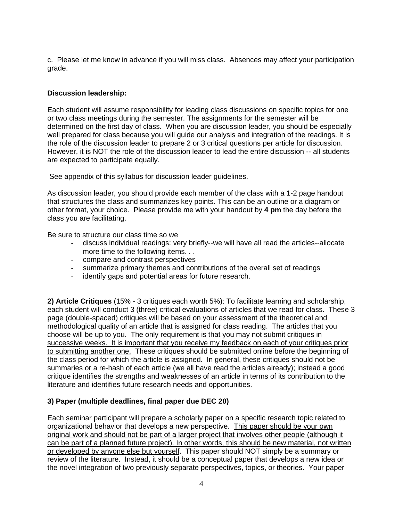c. Please let me know in advance if you will miss class. Absences may affect your participation grade.

# **Discussion leadership:**

Each student will assume responsibility for leading class discussions on specific topics for one or two class meetings during the semester. The assignments for the semester will be determined on the first day of class. When you are discussion leader, you should be especially well prepared for class because you will guide our analysis and integration of the readings. It is the role of the discussion leader to prepare 2 or 3 critical questions per article for discussion. However, it is NOT the role of the discussion leader to lead the entire discussion -- all students are expected to participate equally.

#### See appendix of this syllabus for discussion leader guidelines.

As discussion leader, you should provide each member of the class with a 1-2 page handout that structures the class and summarizes key points. This can be an outline or a diagram or other format, your choice. Please provide me with your handout by **4 pm** the day before the class you are facilitating.

Be sure to structure our class time so we

- discuss individual readings: very briefly--we will have all read the articles--allocate more time to the following items. . .
- compare and contrast perspectives
- summarize primary themes and contributions of the overall set of readings
- identify gaps and potential areas for future research.

**2) Article Critiques** (15% - 3 critiques each worth 5%): To facilitate learning and scholarship, each student will conduct 3 (three) critical evaluations of articles that we read for class. These 3 page (double-spaced) critiques will be based on your assessment of the theoretical and methodological quality of an article that is assigned for class reading. The articles that you choose will be up to you. The only requirement is that you may not submit critiques in successive weeks. It is important that you receive my feedback on each of your critiques prior to submitting another one. These critiques should be submitted online before the beginning of the class period for which the article is assigned. In general, these critiques should not be summaries or a re-hash of each article (we all have read the articles already); instead a good critique identifies the strengths and weaknesses of an article in terms of its contribution to the literature and identifies future research needs and opportunities.

# **3) Paper (multiple deadlines, final paper due DEC 20)**

Each seminar participant will prepare a scholarly paper on a specific research topic related to organizational behavior that develops a new perspective. This paper should be your own original work and should not be part of a larger project that involves other people (although it can be part of a planned future project). In other words, this should be new material, not written or developed by anyone else but yourself. This paper should NOT simply be a summary or review of the literature. Instead, it should be a conceptual paper that develops a new idea or the novel integration of two previously separate perspectives, topics, or theories. Your paper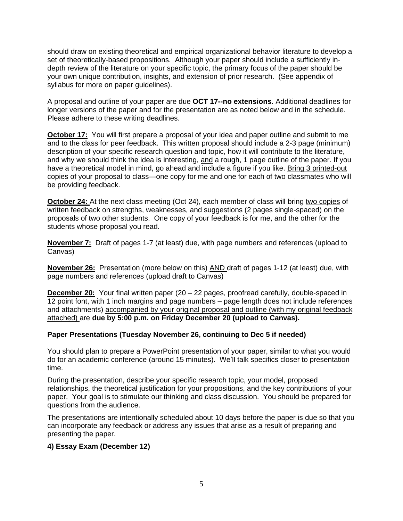should draw on existing theoretical and empirical organizational behavior literature to develop a set of theoretically-based propositions. Although your paper should include a sufficiently indepth review of the literature on your specific topic, the primary focus of the paper should be your own unique contribution, insights, and extension of prior research. (See appendix of syllabus for more on paper guidelines).

A proposal and outline of your paper are due **OCT 17--no extensions**. Additional deadlines for longer versions of the paper and for the presentation are as noted below and in the schedule. Please adhere to these writing deadlines.

**October 17:** You will first prepare a proposal of your idea and paper outline and submit to me and to the class for peer feedback. This written proposal should include a 2-3 page (minimum) description of your specific research question and topic, how it will contribute to the literature, and why we should think the idea is interesting, and a rough, 1 page outline of the paper. If you have a theoretical model in mind, go ahead and include a figure if you like. Bring 3 printed-out copies of your proposal to class—one copy for me and one for each of two classmates who will be providing feedback.

**October 24:** At the next class meeting (Oct 24), each member of class will bring two copies of written feedback on strengths, weaknesses, and suggestions (2 pages single-spaced) on the proposals of two other students. One copy of your feedback is for me, and the other for the students whose proposal you read.

**November 7:** Draft of pages 1-7 (at least) due, with page numbers and references (upload to Canvas)

**November 26:** Presentation (more below on this) AND draft of pages 1-12 (at least) due, with page numbers and references (upload draft to Canvas)

**December 20:** Your final written paper (20 – 22 pages, proofread carefully, double-spaced in 12 point font, with 1 inch margins and page numbers – page length does not include references and attachments) accompanied by your original proposal and outline (with my original feedback attached) are **due by 5:00 p.m. on Friday December 20 (upload to Canvas).**

# **Paper Presentations (Tuesday November 26, continuing to Dec 5 if needed)**

You should plan to prepare a PowerPoint presentation of your paper, similar to what you would do for an academic conference (around 15 minutes). We'll talk specifics closer to presentation time.

During the presentation, describe your specific research topic, your model, proposed relationships, the theoretical justification for your propositions, and the key contributions of your paper. Your goal is to stimulate our thinking and class discussion. You should be prepared for questions from the audience.

The presentations are intentionally scheduled about 10 days before the paper is due so that you can incorporate any feedback or address any issues that arise as a result of preparing and presenting the paper.

#### **4) Essay Exam (December 12)**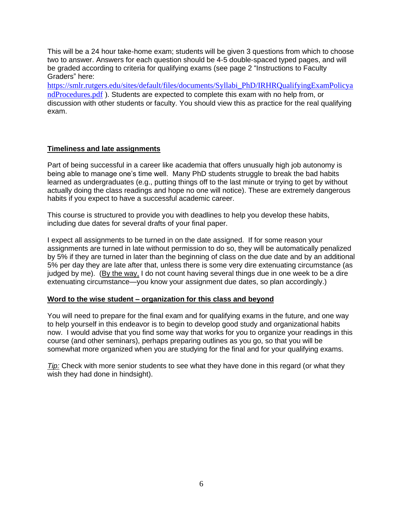This will be a 24 hour take-home exam; students will be given 3 questions from which to choose two to answer. Answers for each question should be 4-5 double-spaced typed pages, and will be graded according to criteria for qualifying exams (see page 2 "Instructions to Faculty Graders" here:

[https://smlr.rutgers.edu/sites/default/files/documents/Syllabi\\_PhD/IRHRQualifyingExamPolicya](https://smlr.rutgers.edu/sites/default/files/documents/Syllabi_PhD/IRHRQualifyingExamPolicyandProcedures.pdf) [ndProcedures.pdf](https://smlr.rutgers.edu/sites/default/files/documents/Syllabi_PhD/IRHRQualifyingExamPolicyandProcedures.pdf) ). Students are expected to complete this exam with no help from, or discussion with other students or faculty. You should view this as practice for the real qualifying exam.

# **Timeliness and late assignments**

Part of being successful in a career like academia that offers unusually high job autonomy is being able to manage one's time well. Many PhD students struggle to break the bad habits learned as undergraduates (e.g., putting things off to the last minute or trying to get by without actually doing the class readings and hope no one will notice). These are extremely dangerous habits if you expect to have a successful academic career.

This course is structured to provide you with deadlines to help you develop these habits, including due dates for several drafts of your final paper.

I expect all assignments to be turned in on the date assigned. If for some reason your assignments are turned in late without permission to do so, they will be automatically penalized by 5% if they are turned in later than the beginning of class on the due date and by an additional 5% per day they are late after that, unless there is some very dire extenuating circumstance (as judged by me). (By the way, I do not count having several things due in one week to be a dire extenuating circumstance—you know your assignment due dates, so plan accordingly.)

# **Word to the wise student – organization for this class and beyond**

You will need to prepare for the final exam and for qualifying exams in the future, and one way to help yourself in this endeavor is to begin to develop good study and organizational habits now. I would advise that you find some way that works for you to organize your readings in this course (and other seminars), perhaps preparing outlines as you go, so that you will be somewhat more organized when you are studying for the final and for your qualifying exams.

*Tip:* Check with more senior students to see what they have done in this regard (or what they wish they had done in hindsight).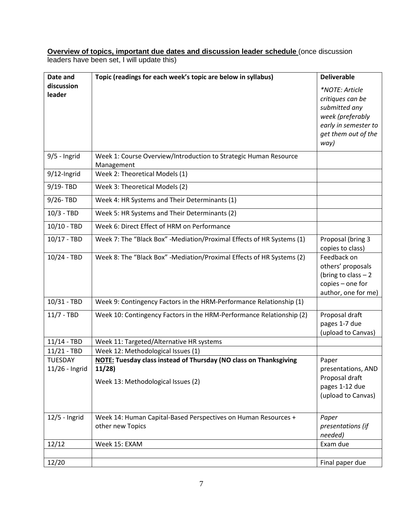**Overview of topics, important due dates and discussion leader schedule** (once discussion leaders have been set, I will update this)

| Date and        | Topic (readings for each week's topic are below in syllabus)                   | <b>Deliverable</b>                          |
|-----------------|--------------------------------------------------------------------------------|---------------------------------------------|
| discussion      |                                                                                | *NOTE: Article                              |
| leader          |                                                                                | critiques can be                            |
|                 |                                                                                | submitted any                               |
|                 |                                                                                | week (preferably                            |
|                 |                                                                                | early in semester to<br>get them out of the |
|                 |                                                                                | way)                                        |
| $9/5$ - Ingrid  | Week 1: Course Overview/Introduction to Strategic Human Resource<br>Management |                                             |
| 9/12-Ingrid     | Week 2: Theoretical Models (1)                                                 |                                             |
| 9/19-TBD        | Week 3: Theoretical Models (2)                                                 |                                             |
| 9/26-TBD        | Week 4: HR Systems and Their Determinants (1)                                  |                                             |
| $10/3 - TBD$    | Week 5: HR Systems and Their Determinants (2)                                  |                                             |
| $10/10 - TBD$   | Week 6: Direct Effect of HRM on Performance                                    |                                             |
| $10/17 - TBD$   | Week 7: The "Black Box" -Mediation/Proximal Effects of HR Systems (1)          | Proposal (bring 3<br>copies to class)       |
| 10/24 - TBD     | Week 8: The "Black Box" -Mediation/Proximal Effects of HR Systems (2)          | Feedback on                                 |
|                 |                                                                                | others' proposals                           |
|                 |                                                                                | (bring to class $-2$<br>copies - one for    |
|                 |                                                                                | author, one for me)                         |
| 10/31 - TBD     | Week 9: Contingency Factors in the HRM-Performance Relationship (1)            |                                             |
| $11/7 - TBD$    | Week 10: Contingency Factors in the HRM-Performance Relationship (2)           | Proposal draft                              |
|                 |                                                                                | pages 1-7 due                               |
| $11/14 - TBD$   | Week 11: Targeted/Alternative HR systems                                       | (upload to Canvas)                          |
| $11/21 - TBD$   | Week 12: Methodological Issues (1)                                             |                                             |
| <b>TUESDAY</b>  | <b>NOTE: Tuesday class instead of Thursday (NO class on Thanksgiving</b>       | Paper                                       |
| 11/26 - Ingrid  | 11/28                                                                          | presentations, AND                          |
|                 | Week 13: Methodological Issues (2)                                             | Proposal draft                              |
|                 |                                                                                | pages 1-12 due                              |
|                 |                                                                                | (upload to Canvas)                          |
| $12/5$ - Ingrid | Week 14: Human Capital-Based Perspectives on Human Resources +                 | Paper                                       |
|                 | other new Topics                                                               | presentations (if                           |
|                 |                                                                                | needed)                                     |
| 12/12           | Week 15: EXAM                                                                  | Exam due                                    |
| 12/20           |                                                                                | Final paper due                             |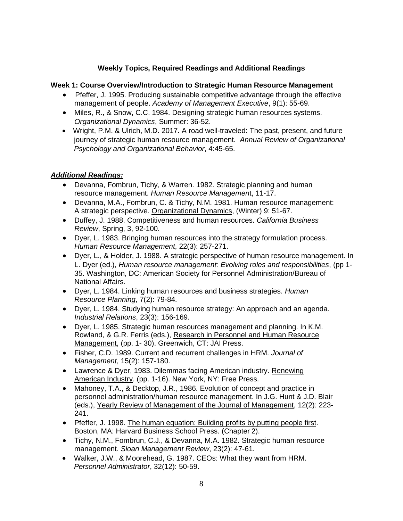# **Weekly Topics, Required Readings and Additional Readings**

# **Week 1: Course Overview/Introduction to Strategic Human Resource Management**

- Pfeffer, J. 1995. Producing sustainable competitive advantage through the effective management of people. *Academy of Management Executive*, 9(1): 55-69.
- Miles, R., & Snow, C.C. 1984. Designing strategic human resources systems. *Organizational Dynamics*, Summer: 36-52.
- Wright, P.M. & Ulrich, M.D. 2017. A road well-traveled: The past, present, and future journey of strategic human resource management. *Annual Review of Organizational Psychology and Organizational Behavior*, 4:45-65.

# *Additional Readings:*

- Devanna, Fombrun, Tichy, & Warren. 1982. Strategic planning and human resource management. *Human Resource Managemen*t, 11-17.
- Devanna, M.A., Fombrun, C. & Tichy, N.M. 1981. Human resource management: A strategic perspective. Organizational Dynamics, (Winter) 9: 51-67.
- Duffey, J. 1988. Competitiveness and human resources. *California Business Review*, Spring, 3, 92-100.
- Dyer, L. 1983. Bringing human resources into the strategy formulation process. *Human Resource Management*, 22(3): 257-271.
- Dyer, L., & Holder, J. 1988. A strategic perspective of human resource management. In L. Dyer (ed.), *Human resource management: Evolving roles and responsibilities*, (pp 1- 35. Washington, DC: American Society for Personnel Administration/Bureau of National Affairs.
- Dyer, L. 1984. Linking human resources and business strategies. *Human Resource Planning*, 7(2): 79-84.
- Dyer, L. 1984. Studying human resource strategy: An approach and an agenda. *Industrial Relations*, 23(3): 156-169.
- Dyer, L. 1985. Strategic human resources management and planning. In K.M. Rowland, & G.R. Ferris (eds.), Research in Personnel and Human Resource Management, (pp. 1- 30). Greenwich, CT: JAI Press.
- Fisher, C.D. 1989. Current and recurrent challenges in HRM. *Journal of Management*, 15(2): 157-180.
- Lawrence & Dyer, 1983. Dilemmas facing American industry. Renewing American Industry. (pp. 1-16). New York, NY: Free Press.
- Mahoney, T.A., & Decktop, J.R., 1986. Evolution of concept and practice in personnel administration/human resource management. In J.G. Hunt & J.D. Blair (eds.), Yearly Review of Management of the Journal of Management, 12(2): 223- 241.
- Pfeffer, J. 1998. The human equation: Building profits by putting people first. Boston, MA: Harvard Business School Press. (Chapter 2).
- Tichy, N.M., Fombrun, C.J., & Devanna, M.A. 1982. Strategic human resource management. *Sloan Management Review*, 23(2): 47-61.
- Walker, J.W., & Moorehead, G. 1987. CEOs: What they want from HRM. *Personnel Administrator*, 32(12): 50-59.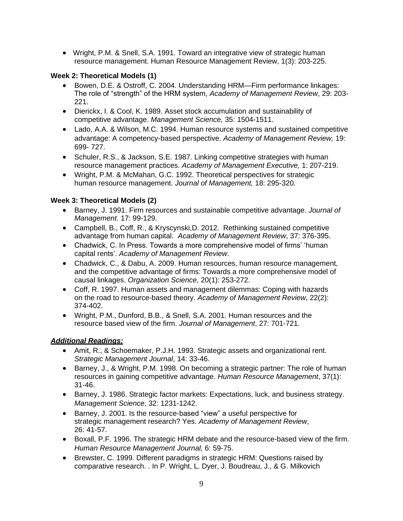• Wright, P.M. & Snell, S.A. 1991. Toward an integrative view of strategic human resource management. Human Resource Management Review, 1(3): 203-225.

# **Week 2: Theoretical Models (1)**

- Bowen, D.E. & Ostroff, C. 2004. Understanding HRM—Firm performance linkages: The role of "strength" of the HRM system, *Academy of Management Review*, 29: 203- 221.
- Dierickx, I. & Cool, K. 1989. Asset stock accumulation and sustainability of competitive advantage. *Management Science,* 35: 1504-1511.
- Lado, A.A. & Wilson, M.C. 1994. Human resource systems and sustained competitive advantage: A competency-based perspective. *Academy of Management Review,* 19: 699- 727.
- Schuler, R.S., & Jackson, S.E. 1987. Linking competitive strategies with human resource management practices. *Academy of Management Executive,* 1: 207-219.
- Wright, P.M. & McMahan, G.C. 1992. Theoretical perspectives for strategic human resource management. *Journal of Management,* 18: 295-320.

# **Week 3: Theoretical Models (2)**

- Barney, J. 1991. Firm resources and sustainable competitive advantage. *Journal of Management*. 17: 99-129.
- Campbell, B., Coff, R., & Kryscynski,D. 2012. Rethinking sustained competitive advantage from human capital. *Academy of Management Review*, 37: 376-395.
- Chadwick, C. In Press. Towards a more comprehensive model of firms' 'human capital rents'. *Academy of Management Review*.
- Chadwick, C., & Dabu, A. 2009. Human resources, human resource management, and the competitive advantage of firms: Towards a more comprehensive model of causal linkages. *Organization Science*, 20(1): 253-272.
- Coff, R. 1997. Human assets and management dilemmas: Coping with hazards on the road to resource-based theory. *Academy of Management Review*, 22(2): 374-402.
- Wright, P.M., Dunford, B.B., & Snell, S.A. 2001. Human resources and the resource based view of the firm. *Journal of Management*, 27: 701-721.

# *Additional Readings:*

- Amit, R., & Schoemaker, P.J.H. 1993. Strategic assets and organizational rent. *Strategic Management Journal*, 14: 33-46.
- Barney, J., & Wright, P.M. 1998. On becoming a strategic partner: The role of human resources in gaining competitive advantage. *Human Resource Management*, 37(1): 31-46.
- Barney, J. 1986. Strategic factor markets: Expectations, luck, and business strategy. *Management Science*, 32: 1231-1242.
- Barney, J. 2001. Is the resource-based "view" a useful perspective for strategic management research? Yes. *Academy of Management Review*, 26: 41-57.
- Boxall, P.F. 1996. The strategic HRM debate and the resource-based view of the firm. *Human Resource Management Journal,* 6: 59-75.
- Brewster, C. 1999. Different paradigms in strategic HRM: Questions raised by comparative research. . In P. Wright, L. Dyer, J. Boudreau, J., & G. Milkovich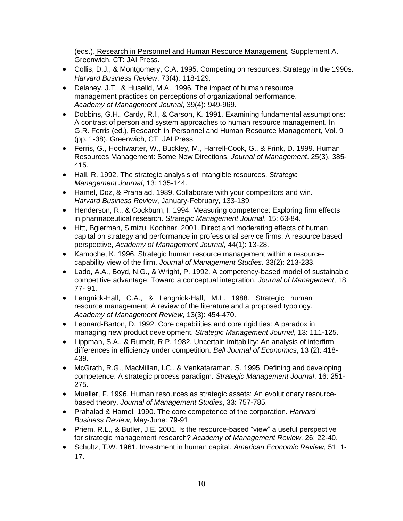(eds.), Research in Personnel and Human Resource Management, Supplement A. Greenwich, CT: JAI Press.

- Collis, D.J., & Montgomery, C.A. 1995. Competing on resources: Strategy in the 1990s. *Harvard Business Review*, 73(4): 118-129.
- Delaney, J.T., & Huselid, M.A., 1996. The impact of human resource management practices on perceptions of organizational performance. *Academy of Management Journal*, 39(4): 949-969.
- Dobbins, G.H., Cardy, R.l., & Carson, K. 1991. Examining fundamental assumptions: A contrast of person and system approaches to human resource management. In G.R. Ferris (ed.), Research in Personnel and Human Resource Management, Vol. 9 (pp. 1-38). Greenwich, CT: JAI Press.
- Ferris, G., Hochwarter, W., Buckley, M., Harrell-Cook, G., & Frink, D. 1999. Human Resources Management: Some New Directions. *Journal of Management*. 25(3), 385- 415.
- Hall, R. 1992. The strategic analysis of intangible resources. *Strategic Management Journal*, 13: 135-144.
- Hamel, Doz, & Prahalad. 1989. Collaborate with your competitors and win. *Harvard Business Review*, January-February, 133-139.
- Henderson, R., & Cockburn, I. 1994. Measuring competence: Exploring firm effects in pharmaceutical research. *Strategic Management Journal*, 15: 63-84.
- Hitt, Bgierman, Simizu, Kochhar. 2001. Direct and moderating effects of human capital on strategy and performance in professional service firms: A resource based perspective, *Academy of Management Journal*, 44(1): 13-28.
- Kamoche, K. 1996. Strategic human resource management within a resourcecapability view of the firm. *Journal of Management Studies*. 33(2): 213-233.
- Lado, A.A., Boyd, N.G., & Wright, P. 1992. A competency-based model of sustainable competitive advantage: Toward a conceptual integration. *Journal of Management*, 18: 77- 91.
- Lengnick-Hall, C.A., & Lengnick-Hall, M.L. 1988. Strategic human resource management: A review of the literature and a proposed typology. *Academy of Management Review*, 13(3): 454-470.
- Leonard-Barton, D. 1992. Core capabilities and core rigidities: A paradox in managing new product development. *Strategic Management Journal*, 13: 111-125.
- Lippman, S.A., & Rumelt, R.P. 1982. Uncertain imitability: An analysis of interfirm differences in efficiency under competition. *Bell Journal of Economics*, 13 (2): 418- 439.
- McGrath, R.G., MacMillan, I.C., & Venkataraman, S. 1995. Defining and developing competence: A strategic process paradigm. *Strategic Management Journal*, 16: 251- 275.
- Mueller, F. 1996. Human resources as strategic assets: An evolutionary resourcebased theory. *Journal of Management Studies*, 33: 757-785.
- Prahalad & Hamel, 1990. The core competence of the corporation. *Harvard Business Review*, May-June: 79-91.
- Priem, R.L., & Butler, J.E. 2001. Is the resource-based "view" a useful perspective for strategic management research? *Academy of Management Review*, 26: 22-40.
- Schultz, T.W. 1961. Investment in human capital. *American Economic Review*, 51: 1- 17.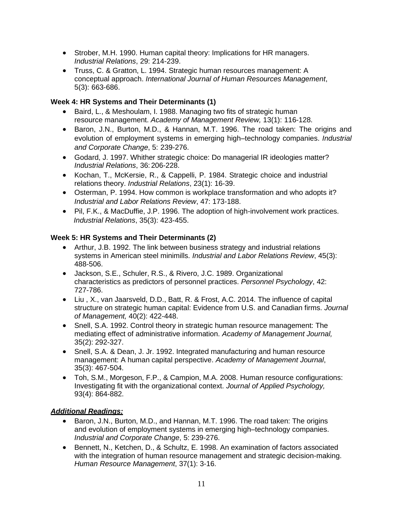- Strober, M.H. 1990. Human capital theory: Implications for HR managers. *Industrial Relations*, 29: 214-239.
- Truss, C. & Gratton, L. 1994. Strategic human resources management: A conceptual approach. *International Journal of Human Resources Management*, 5(3): 663-686.

# **Week 4: HR Systems and Their Determinants (1)**

- Baird, L., & Meshoulam, I. 1988. Managing two fits of strategic human resource management. *Academy of Management Review,* 13(1): 116-128.
- Baron, J.N., Burton, M.D., & Hannan, M.T. 1996. The road taken: The origins and evolution of employment systems in emerging high–technology companies. *Industrial and Corporate Change*, 5: 239-276.
- Godard, J. 1997. Whither strategic choice: Do managerial IR ideologies matter? *Industrial Relations*, 36: 206-228.
- Kochan, T., McKersie, R., & Cappelli, P. 1984. Strategic choice and industrial relations theory. *Industrial Relations*, 23(1): 16-39.
- Osterman, P. 1994. How common is workplace transformation and who adopts it? *Industrial and Labor Relations Review*, 47: 173-188.
- Pil, F.K., & MacDuffie, J.P. 1996. The adoption of high-involvement work practices. *Industrial Relations*, 35(3): 423-455.

# **Week 5: HR Systems and Their Determinants (2)**

- Arthur, J.B. 1992. The link between business strategy and industrial relations systems in American steel minimills. *Industrial and Labor Relations Review*, 45(3): 488-506.
- Jackson, S.E., Schuler, R.S., & Rivero, J.C. 1989. Organizational characteristics as predictors of personnel practices. *Personnel Psychology*, 42: 727-786.
- Liu , X., van Jaarsveld, D.D., Batt, R. & Frost, A.C. 2014. The influence of capital structure on strategic human capital: Evidence from U.S. and Canadian firms. *Journal of Management,* 40(2): 422-448.
- Snell, S.A. 1992. Control theory in strategic human resource management: The mediating effect of administrative information. *Academy of Management Journal,*  35(2): 292-327.
- Snell, S.A. & Dean, J. Jr. 1992. Integrated manufacturing and human resource management: A human capital perspective. *Academy of Management Journal*, 35(3): 467-504.
- Toh, S.M., Morgeson, F.P., & Campion, M.A. 2008. Human resource configurations: Investigating fit with the organizational context. *Journal of Applied Psychology,*  93(4): 864-882.

# *Additional Readings:*

- Baron, J.N., Burton, M.D., and Hannan, M.T. 1996. The road taken: The origins and evolution of employment systems in emerging high–technology companies. *Industrial and Corporate Change*, 5: 239-276.
- Bennett, N., Ketchen, D., & Schultz, E. 1998. An examination of factors associated with the integration of human resource management and strategic decision-making. *Human Resource Management*, 37(1): 3-16.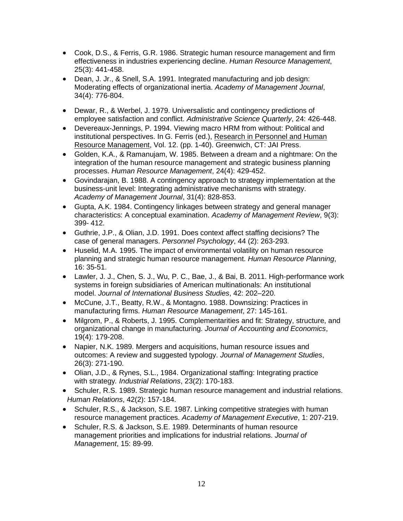- Cook, D.S., & Ferris, G.R. 1986. Strategic human resource management and firm effectiveness in industries experiencing decline. *Human Resource Management*, 25(3): 441-458.
- Dean, J. Jr., & Snell, S.A. 1991. Integrated manufacturing and job design: Moderating effects of organizational inertia. *Academy of Management Journal*, 34(4): 776-804.
- Dewar, R., & Werbel, J. 1979. Universalistic and contingency predictions of employee satisfaction and conflict. *Administrative Science Quarterly*, 24: 426-448.
- Devereaux-Jennings, P. 1994. Viewing macro HRM from without: Political and institutional perspectives. In G. Ferris (ed.), Research in Personnel and Human Resource Management, Vol. 12. (pp. 1-40). Greenwich, CT: JAI Press.
- Golden, K.A., & Ramanujam, W. 1985. Between a dream and a nightmare: On the integration of the human resource management and strategic business planning processes. *Human Resource Management*, 24(4): 429-452.
- Govindarajan, B. 1988. A contingency approach to strategy implementation at the business-unit level: Integrating administrative mechanisms with strategy. *Academy of Management Journal*, 31(4): 828-853.
- Gupta, A.K. 1984. Contingency linkages between strategy and general manager characteristics: A conceptual examination. *Academy of Management Review*, 9(3): 399- 412.
- Guthrie, J.P., & Olian, J.D. 1991. Does context affect staffing decisions? The case of general managers. *Personnel Psychology*, 44 (2): 263-293.
- Huselid, M.A. 1995. The impact of environmental volatility on human resource planning and strategic human resource management. *Human Resource Planning*, 16: 35-51.
- Lawler, J. J., Chen, S. J., Wu, P. C., Bae, J., & Bai, B. 2011. High-performance work systems in foreign subsidiaries of American multinationals: An institutional model. *Journal of International Business Studies*, 42: 202–220.
- McCune, J.T., Beatty, R.W., & Montagno. 1988. Downsizing: Practices in manufacturing firms. *Human Resource Management*, 27: 145-161.
- Milgrom, P., & Roberts, J. 1995. Complementarities and fit: Strategy, structure, and organizational change in manufacturing. *Journal of Accounting and Economics*, 19(4): 179-208.
- Napier, N.K. 1989. Mergers and acquisitions, human resource issues and outcomes: A review and suggested typology. *Journal of Management Studies*, 26(3): 271-190.
- Olian, J.D., & Rynes, S.L., 1984. Organizational staffing: Integrating practice with strategy*. Industrial Relations*, 23(2): 170-183.
- Schuler, R.S. 1989. Strategic human resource management and industrial relations. *Human Relations*, 42(2): 157-184.
- Schuler, R.S., & Jackson, S.E. 1987. Linking competitive strategies with human resource management practices. *Academy of Management Executive*, 1: 207-219.
- Schuler, R.S. & Jackson, S.E. 1989. Determinants of human resource management priorities and implications for industrial relations. *Journal of Management*, 15: 89-99.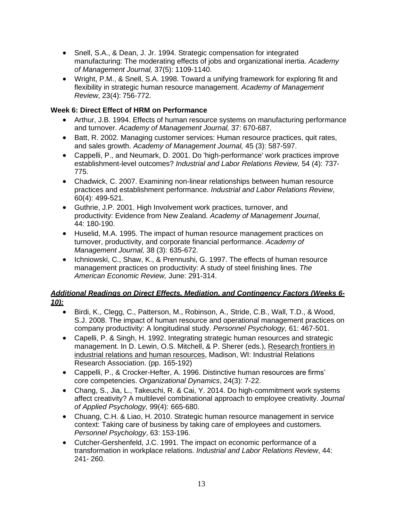- Snell, S.A., & Dean, J. Jr. 1994. Strategic compensation for integrated manufacturing: The moderating effects of jobs and organizational inertia. *Academy of Management Journal,* 37(5): 1109-1140.
- Wright, P.M., & Snell, S.A. 1998. Toward a unifying framework for exploring fit and flexibility in strategic human resource management. *Academy of Management Review*, 23(4): 756-772.

# **Week 6: Direct Effect of HRM on Performance**

- Arthur, J.B. 1994. Effects of human resource systems on manufacturing performance and turnover. *Academy of Management Journal,* 37: 670-687.
- Batt, R. 2002. Managing customer services: Human resource practices, quit rates, and sales growth. *Academy of Management Journal,* 45 (3): 587-597.
- Cappelli, P., and Neumark, D. 2001. Do 'high-performance' work practices improve establishment-level outcomes? *Industrial and Labor Relations Review,* 54 (4): 737- 775.
- Chadwick, C. 2007. Examining non-linear relationships between human resource practices and establishment performance. *Industrial and Labor Relations Review*, 60(4): 499-521.
- Guthrie, J.P. 2001. High Involvement work practices, turnover, and productivity: Evidence from New Zealand. *Academy of Management Journal*, 44: 180-190.
- Huselid, M.A. 1995. The impact of human resource management practices on turnover, productivity, and corporate financial performance. *Academy of Management Journal,* 38 (3): 635-672.
- Ichniowski, C., Shaw, K., & Prennushi, G. 1997. The effects of human resource management practices on productivity: A study of steel finishing lines. *The American Economic Review,* June: 291-314.

# *Additional Readings on Direct Effects, Mediation, and Contingency Factors (Weeks 6- 10):*

- Birdi, K., Clegg, C., Patterson, M., Robinson, A., Stride, C.B., Wall, T.D., & Wood, S.J. 2008. The impact of human resource and operational management practices on company productivity: A longitudinal study. *Personnel Psychology,* 61: 467-501.
- Capelli, P. & Singh, H. 1992. Integrating strategic human resources and strategic management. In D. Lewin, O.S. Mitchell, & P. Sherer (eds.), Research frontiers in industrial relations and human resources, Madison, WI: Industrial Relations Research Association. (pp. 165-192)
- Cappelli, P., & Crocker-Hefter, A. 1996. Distinctive human resources are firms' core competencies. *Organizational Dynamics*, 24(3): 7-22.
- Chang, S., Jia, L., Takeuchi, R. & Cai, Y. 2014. Do high-commitment work systems affect creativity? A multilevel combinational approach to employee creativity. *Journal of Applied Psychology,* 99(4): 665-680.
- Chuang, C.H. & Liao, H. 2010. Strategic human resource management in service context: Taking care of business by taking care of employees and customers*. Personnel Psychology*, 63: 153-196.
- Cutcher-Gershenfeld, J.C. 1991. The impact on economic performance of a transformation in workplace relations. *Industrial and Labor Relations Review*, 44: 241- 260.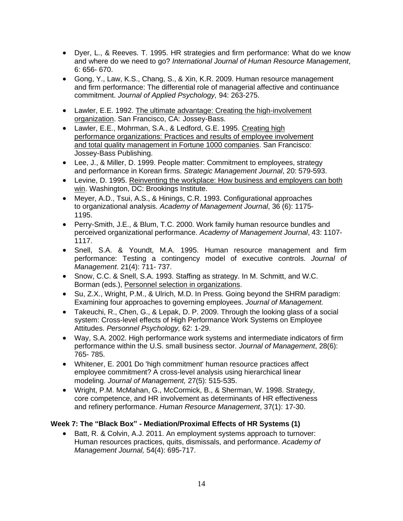- Dyer, L., & Reeves. T. 1995. HR strategies and firm performance: What do we know and where do we need to go? *International Journal of Human Resource Management*, 6: 656- 670.
- Gong, Y., Law, K.S., Chang, S., & Xin, K.R. 2009. Human resource management and firm performance: The differential role of managerial affective and continuance commitment. *Journal of Applied Psychology,* 94: 263-275.
- Lawler, E.E. 1992. The ultimate advantage: Creating the high-involvement organization. San Francisco, CA: Jossey-Bass.
- Lawler, E.E., Mohrman, S.A., & Ledford, G.E. 1995. Creating high performance organizations: Practices and results of employee involvement and total quality management in Fortune 1000 companies. San Francisco: Jossey-Bass Publishing.
- Lee, J., & Miller, D. 1999. People matter: Commitment to employees, strategy and performance in Korean firms. *Strategic Management Journal*, 20: 579-593.
- Levine, D. 1995. Reinventing the workplace: How business and employers can both win. Washington, DC: Brookings Institute.
- Meyer, A.D., Tsui, A.S., & Hinings, C.R. 1993. Configurational approaches to organizational analysis. *Academy of Management Journal*, 36 (6): 1175- 1195.
- Perry-Smith, J.E., & Blum, T.C. 2000. Work family human resource bundles and perceived organizational performance. *Academy of Management Journal*, 43: 1107- 1117.
- Snell, S.A. & Youndt, M.A. 1995. Human resource management and firm performance: Testing a contingency model of executive controls. *Journal of Management*. 21(4): 711- 737.
- Snow, C.C. & Snell, S.A. 1993. Staffing as strategy. In M. Schmitt, and W.C. Borman (eds.), Personnel selection in organizations.
- Su, Z.X., Wright, P.M., & Ulrich, M.D. In Press. Going beyond the SHRM paradigm: Examining four approaches to governing employees. *Journal of Management.*
- Takeuchi, R., Chen, G., & Lepak, D. P. 2009. Through the looking glass of a social system: Cross-level effects of High Performance Work Systems on Employee Attitudes. *Personnel Psychology,* 62: 1-29.
- Way, S.A. 2002. High performance work systems and intermediate indicators of firm performance within the U.S. small business sector. *Journal of Management*, 28(6): 765- 785.
- Whitener, E. 2001 Do 'high commitment' human resource practices affect employee commitment? A cross-level analysis using hierarchical linear modeling. *Journal of Management,* 27(5): 515-535.
- Wright, P.M. McMahan, G., McCormick, B., & Sherman, W. 1998. Strategy, core competence, and HR involvement as determinants of HR effectiveness and refinery performance. *Human Resource Management*, 37(1): 17-30.

# **Week 7: The "Black Box" - Mediation/Proximal Effects of HR Systems (1)**

• Batt, R. & Colvin, A.J. 2011. An employment systems approach to turnover: Human resources practices, quits, dismissals, and performance. *Academy of Management Journal,* 54(4): 695-717.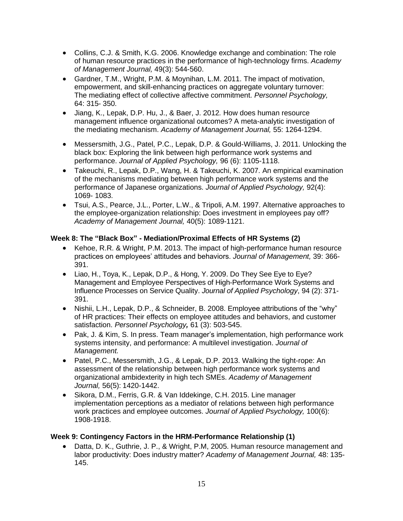- Collins, C.J. & Smith, K.G. 2006. Knowledge exchange and combination: The role of human resource practices in the performance of high-technology firms. *Academy of Management Journal,* 49(3): 544-560.
- Gardner, T.M., Wright, P.M. & Moynihan, L.M. 2011. The impact of motivation, empowerment, and skill-enhancing practices on aggregate voluntary turnover: The mediating effect of collective affective commitment. *Personnel Psychology,*  64: 315- 350.
- Jiang, K., Lepak, D.P. Hu, J., & Baer, J. 2012*.* How does human resource management influence organizational outcomes? A meta-analytic investigation of the mediating mechanism. *Academy of Management Journal,* 55: 1264-1294.
- Messersmith, J.G., Patel, P.C., Lepak, D.P. & Gould-Williams, J. 2011. Unlocking the black box: Exploring the link between high performance work systems and performance. *Journal of Applied Psychology,* 96 (6): 1105-1118.
- Takeuchi, R., Lepak, D.P., Wang, H. & Takeuchi, K. 2007. An empirical examination of the mechanisms mediating between high performance work systems and the performance of Japanese organizations. *Journal of Applied Psychology,* 92(4): 1069- 1083.
- Tsui, A.S., Pearce, J.L., Porter, L.W., & Tripoli, A.M. 1997. Alternative approaches to the employee-organization relationship: Does investment in employees pay off? *Academy of Management Journal,* 40(5): 1089-1121.

# **Week 8: The "Black Box" - Mediation/Proximal Effects of HR Systems (2)**

- Kehoe, R.R. & Wright, P.M. 2013. The impact of high-performance human resource practices on employees' attitudes and behaviors. *Journal of Management,* 39: 366- 391.
- Liao, H., Toya, K., Lepak, D.P., & Hong, Y. 2009. Do They See Eye to Eye? Management and Employee Perspectives of High-Performance Work Systems and Influence Processes on Service Quality. *Journal of Applied Psychology*, 94 (2): 371- 391.
- Nishii, L.H., Lepak, D.P., & Schneider, B. 2008. Employee attributions of the "why" of HR practices: Their effects on employee attitudes and behaviors, and customer satisfaction. *Personnel Psychology,* 61 (3): 503-545.
- Pak, J. & Kim, S. In press. Team manager's implementation, high performance work systems intensity, and performance: A multilevel investigation. *Journal of Management.*
- Patel, P.C., Messersmith, J.G., & Lepak, D.P. 2013. Walking the tight-rope: An assessment of the relationship between high performance work systems and organizational ambidexterity in high tech SMEs. *Academy of Management Journal,* 56(5): 1420-1442.
- Sikora, D.M., Ferris, G.R. & Van Iddekinge, C.H. 2015. Line manager implementation perceptions as a mediator of relations between high performance work practices and employee outcomes. *Journal of Applied Psychology,* 100(6): 1908-1918.

# **Week 9: Contingency Factors in the HRM-Performance Relationship (1)**

• Datta, D. K., Guthrie, J. P., & Wright, P.M, 2005. Human resource management and labor productivity: Does industry matter? *Academy of Management Journal,* 48: 135- 145.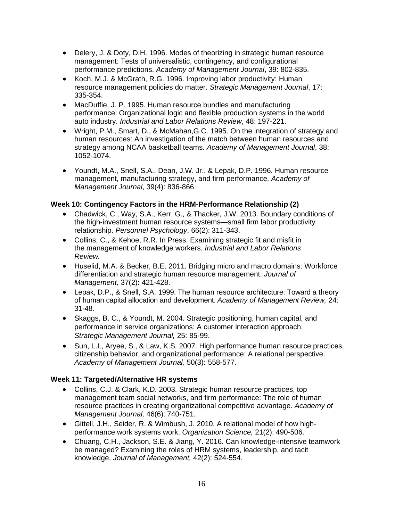- Delery, J. & Doty, D.H. 1996. Modes of theorizing in strategic human resource management: Tests of universalistic, contingency, and configurational performance predictions. *Academy of Management Journal*, 39: 802-835.
- Koch, M.J. & McGrath, R.G. 1996. Improving labor productivity: Human resource management policies do matter. *Strategic Management Journal*, 17: 335-354.
- MacDuffie, J. P. 1995. Human resource bundles and manufacturing performance: Organizational logic and flexible production systems in the world auto industry. *Industrial and Labor Relations Review*, 48: 197-221.
- Wright, P.M., Smart, D., & McMahan,G.C. 1995. On the integration of strategy and human resources: An investigation of the match between human resources and strategy among NCAA basketball teams. *Academy of Management Journal*, 38: 1052-1074.
- Youndt, M.A., Snell, S.A., Dean, J.W. Jr., & Lepak, D.P. 1996. Human resource management, manufacturing strategy, and firm performance. *Academy of Management Journal*, 39(4): 836-866.

# **Week 10: Contingency Factors in the HRM-Performance Relationship (2)**

- Chadwick, C., Way, S.A., Kerr, G., & Thacker, J.W. 2013. Boundary conditions of the high-investment human resource systems—small firm labor productivity relationship. *Personnel Psychology*, 66(2): 311-343.
- Collins, C., & Kehoe, R.R. In Press. Examining strategic fit and misfit in the management of knowledge workers. *Industrial and Labor Relations Review.*
- Huselid, M.A. & Becker, B.E. 2011. Bridging micro and macro domains: Workforce differentiation and strategic human resource management. *Journal of Management,* 37(2): 421-428.
- Lepak, D.P., & Snell, S.A. 1999. The human resource architecture: Toward a theory of human capital allocation and development. *Academy of Management Review,* 24: 31-48.
- Skaggs, B. C., & Youndt, M. 2004. Strategic positioning, human capital, and performance in service organizations: A customer interaction approach. *Strategic Management Journal,* 25: 85-99.
- Sun, L.I., Aryee, S., & Law, K.S. 2007. High performance human resource practices, citizenship behavior, and organizational performance: A relational perspective. *Academy of Management Journal,* 50(3): 558-577.

# **Week 11: Targeted/Alternative HR systems**

- Collins, C.J. & Clark, K.D. 2003. Strategic human resource practices, top management team social networks, and firm performance: The role of human resource practices in creating organizational competitive advantage. *Academy of Management Journal,* 46(6): 740-751.
- Gittell, J.H., Seider, R. & Wimbush, J. 2010. A relational model of how highperformance work systems work. *Organization Science,* 21(2): 490-506.
- Chuang, C.H., Jackson, S.E. & Jiang, Y. 2016. Can knowledge-intensive teamwork be managed? Examining the roles of HRM systems, leadership, and tacit knowledge. *Journal of Management,* 42(2): 524-554.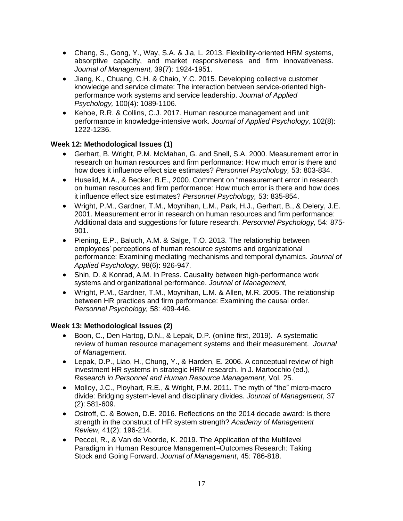- Chang, S., Gong, Y., Way, S.A. & Jia, L. 2013. Flexibility-oriented HRM systems, absorptive capacity, and market responsiveness and firm innovativeness. *Journal of Management,* 39(7): 1924-1951.
- Jiang, K., Chuang, C.H. & Chaio, Y.C. 2015. Developing collective customer knowledge and service climate: The interaction between service-oriented highperformance work systems and service leadership. *Journal of Applied Psychology,* 100(4): 1089-1106.
- Kehoe, R.R. & Collins, C.J. 2017. Human resource management and unit performance in knowledge-intensive work. *Journal of Applied Psychology,* 102(8): 1222-1236.

# **Week 12: Methodological Issues (1)**

- Gerhart, B. Wright, P.M. McMahan, G. and Snell, S.A. 2000. Measurement error in research on human resources and firm performance: How much error is there and how does it influence effect size estimates? *Personnel Psychology,* 53: 803-834.
- Huselid, M.A., & Becker, B.E., 2000. Comment on "measurement error in research on human resources and firm performance: How much error is there and how does it influence effect size estimates? *Personnel Psychology,* 53: 835-854.
- Wright, P.M., Gardner, T.M., Moynihan, L.M., Park, H.J., Gerhart, B., & Delery, J.E. 2001. Measurement error in research on human resources and firm performance: Additional data and suggestions for future research. *Personnel Psychology,* 54: 875- 901.
- Piening, E.P., Baluch, A.M. & Salge, T.O. 2013. The relationship between employees' perceptions of human resource systems and organizational performance: Examining mediating mechanisms and temporal dynamics. *Journal of Applied Psychology,* 98(6): 926-947.
- Shin, D. & Konrad, A.M. In Press. Causality between high-performance work systems and organizational performance. *Journal of Management,*
- Wright, P.M., Gardner, T.M., Moynihan, L.M. & Allen, M.R. 2005. The relationship between HR practices and firm performance: Examining the causal order. *Personnel Psychology,* 58: 409-446.

# **Week 13: Methodological Issues (2)**

- Boon, C., Den Hartog, D.N., & Lepak, D.P. (online first, 2019). A systematic review of human resource management systems and their measurement. *Journal of Management.*
- Lepak, D.P., Liao, H., Chung, Y., & Harden, E. 2006. A conceptual review of high investment HR systems in strategic HRM research. In J. Martocchio (ed.), *Research in Personnel and Human Resource Management,* Vol. 25.
- Molloy, J.C., Ployhart, R.E., & Wright, P.M. 2011. The myth of "the" micro-macro divide: Bridging system-level and disciplinary divides. *Journal of Management*, 37 (2): 581-609.
- Ostroff, C. & Bowen, D.E. 2016. Reflections on the 2014 decade award: Is there strength in the construct of HR system strength? *Academy of Management Review,* 41(2): 196-214.
- Peccei, R., & Van de Voorde, K. 2019. The Application of the Multilevel Paradigm in Human Resource Management–Outcomes Research: Taking Stock and Going Forward. *Journal of Management*, 45: 786-818.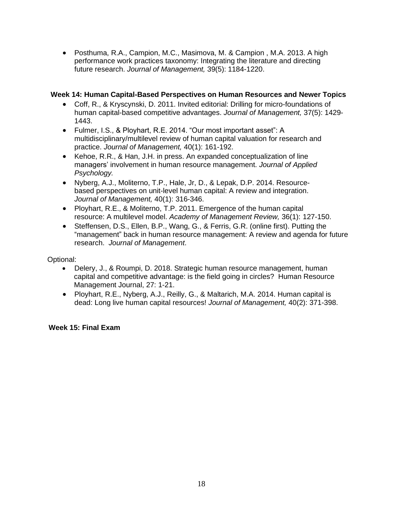• Posthuma, R.A., Campion, M.C., Masimova, M. & Campion , M.A. 2013. A high performance work practices taxonomy: Integrating the literature and directing future research. *Journal of Management,* 39(5): 1184-1220.

# **Week 14: Human Capital-Based Perspectives on Human Resources and Newer Topics**

- Coff, R., & Kryscynski, D. 2011. Invited editorial: Drilling for micro-foundations of human capital-based competitive advantages. *Journal of Management,* 37(5): 1429- 1443.
- Fulmer, I.S., & Ployhart, R.E. 2014. "Our most important asset": A multidisciplinary/multilevel review of human capital valuation for research and practice. *Journal of Management,* 40(1): 161-192.
- Kehoe, R.R., & Han, J.H. in press. An expanded conceptualization of line managers' involvement in human resource management. *Journal of Applied Psychology.*
- Nyberg, A.J., Moliterno, T.P., Hale, Jr, D., & Lepak, D.P. 2014. Resourcebased perspectives on unit-level human capital: A review and integration. *Journal of Management,* 40(1): 316-346.
- Ployhart, R.E., & Moliterno, T.P. 2011. Emergence of the human capital resource: A multilevel model. *Academy of Management Review,* 36(1): 127-150.
- Steffensen, D.S., Ellen, B.P., Wang, G., & Ferris, G.R. (online first). Putting the "management" back in human resource management: A review and agenda for future research. *Journal of Management*.

Optional:

- Delery, J., & Roumpi, D. 2018. Strategic human resource management, human capital and competitive advantage: is the field going in circles? Human Resource Management Journal, 27: 1-21.
- Ployhart, R.E., Nyberg, A.J., Reilly, G., & Maltarich, M.A. 2014. Human capital is dead: Long live human capital resources! *Journal of Management,* 40(2): 371-398.

# **Week 15: Final Exam**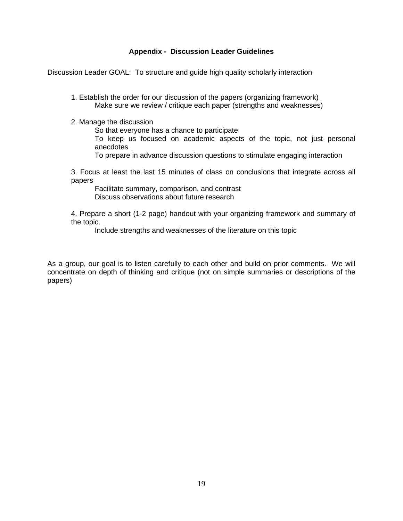#### **Appendix - Discussion Leader Guidelines**

Discussion Leader GOAL: To structure and guide high quality scholarly interaction

1. Establish the order for our discussion of the papers (organizing framework) Make sure we review / critique each paper (strengths and weaknesses)

2. Manage the discussion

So that everyone has a chance to participate

To keep us focused on academic aspects of the topic, not just personal anecdotes

To prepare in advance discussion questions to stimulate engaging interaction

3. Focus at least the last 15 minutes of class on conclusions that integrate across all papers

Facilitate summary, comparison, and contrast Discuss observations about future research

4. Prepare a short (1-2 page) handout with your organizing framework and summary of the topic.

Include strengths and weaknesses of the literature on this topic

As a group, our goal is to listen carefully to each other and build on prior comments. We will concentrate on depth of thinking and critique (not on simple summaries or descriptions of the papers)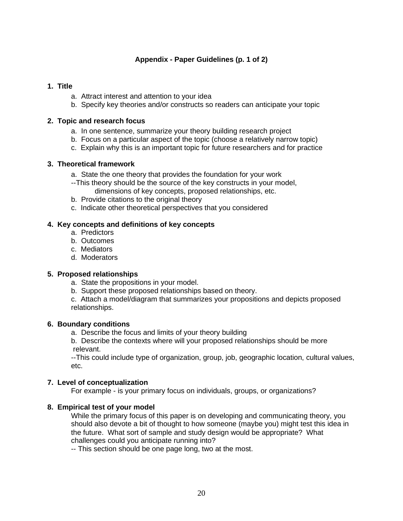# **Appendix - Paper Guidelines (p. 1 of 2)**

# **1. Title**

- a. Attract interest and attention to your idea
- b. Specify key theories and/or constructs so readers can anticipate your topic

# **2. Topic and research focus**

- a. In one sentence, summarize your theory building research project
- b. Focus on a particular aspect of the topic (choose a relatively narrow topic)
- c. Explain why this is an important topic for future researchers and for practice

#### **3. Theoretical framework**

- a. State the one theory that provides the foundation for your work
- --This theory should be the source of the key constructs in your model, dimensions of key concepts, proposed relationships, etc.
- b. Provide citations to the original theory
- c. Indicate other theoretical perspectives that you considered

# **4. Key concepts and definitions of key concepts**

- a.Predictors
- b. Outcomes
- c. Mediators
- d. Moderators

# **5. Proposed relationships**

- a. State the propositions in your model.
- b. Support these proposed relationships based on theory.
- c. Attach a model/diagram that summarizes your propositions and depicts proposed relationships.

#### **6. Boundary conditions**

- a.Describe the focus and limits of your theory building
- b. Describe the contexts where will your proposed relationships should be more relevant.

--This could include type of organization, group, job, geographic location, cultural values, etc.

# **7. Level of conceptualization**

For example - is your primary focus on individuals, groups, or organizations?

# **8. Empirical test of your model**

While the primary focus of this paper is on developing and communicating theory, you should also devote a bit of thought to how someone (maybe you) might test this idea in the future. What sort of sample and study design would be appropriate? What challenges could you anticipate running into?

-- This section should be one page long, two at the most.